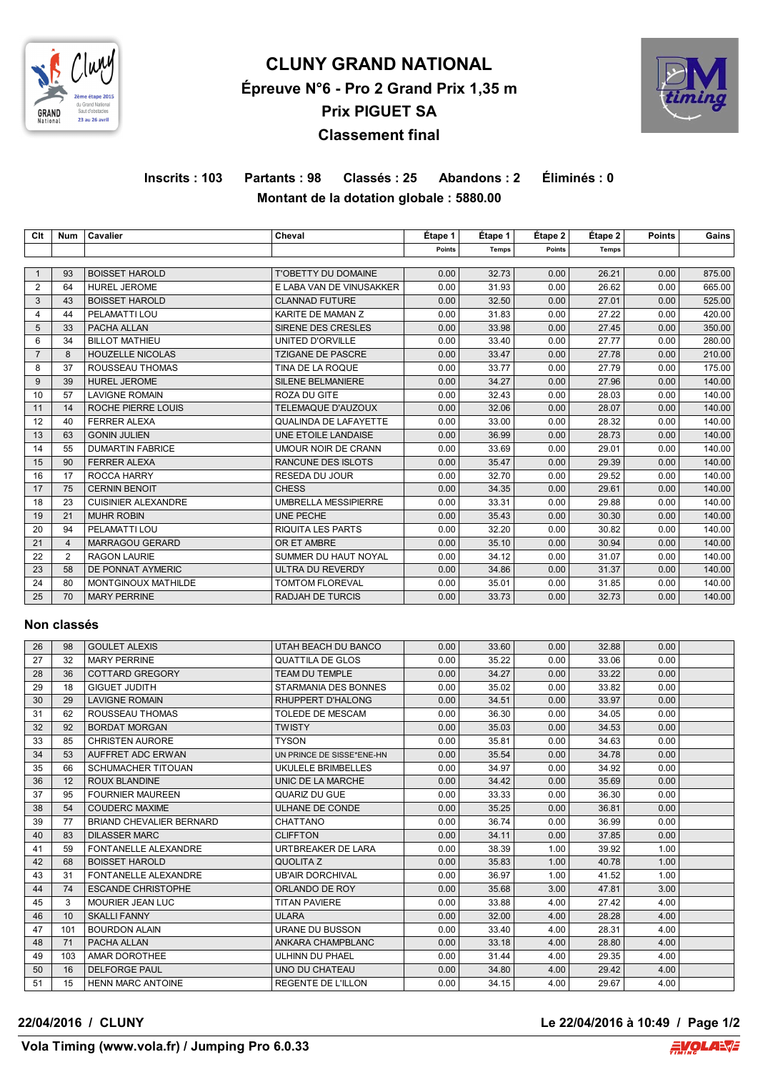

# **CLUNY GRAND NATIONAL Épreuve N°6 - Pro 2 Grand Prix 1,35 m Prix PIGUET SA Classement final**



# **Inscrits : 103 Partants : 98 Classés : 25 Abandons : 2 Éliminés : 0 Montant de la dotation globale : 5880.00**

| Clt            | <b>Num</b>     | Cavalier                   | Cheval                       | Etape 1       | Étape 1      | Étape 2 | Étape 2      | <b>Points</b> | Gains  |
|----------------|----------------|----------------------------|------------------------------|---------------|--------------|---------|--------------|---------------|--------|
|                |                |                            |                              | <b>Points</b> | <b>Temps</b> | Points  | <b>Temps</b> |               |        |
|                |                |                            |                              |               |              |         |              |               |        |
| -1             | 93             | <b>BOISSET HAROLD</b>      | <b>T'OBETTY DU DOMAINE</b>   | 0.00          | 32.73        | 0.00    | 26.21        | 0.00          | 875.00 |
| $\overline{2}$ | 64             | <b>HUREL JEROME</b>        | E LABA VAN DE VINUSAKKER     | 0.00          | 31.93        | 0.00    | 26.62        | 0.00          | 665.00 |
| 3              | 43             | <b>BOISSET HAROLD</b>      | <b>CLANNAD FUTURE</b>        | 0.00          | 32.50        | 0.00    | 27.01        | 0.00          | 525.00 |
| 4              | 44             | PELAMATTI LOU              | KARITE DE MAMAN Z            | 0.00          | 31.83        | 0.00    | 27.22        | 0.00          | 420.00 |
| 5              | 33             | PACHA ALLAN                | SIRENE DES CRESLES           | 0.00          | 33.98        | 0.00    | 27.45        | 0.00          | 350.00 |
| 6              | 34             | <b>BILLOT MATHIEU</b>      | <b>UNITED D'ORVILLE</b>      | 0.00          | 33.40        | 0.00    | 27.77        | 0.00          | 280.00 |
| $\overline{7}$ | 8              | <b>HOUZELLE NICOLAS</b>    | <b>TZIGANE DE PASCRE</b>     | 0.00          | 33.47        | 0.00    | 27.78        | 0.00          | 210.00 |
| 8              | 37             | ROUSSEAU THOMAS            | TINA DE LA ROQUE             | 0.00          | 33.77        | 0.00    | 27.79        | 0.00          | 175.00 |
| 9              | 39             | <b>HUREL JEROME</b>        | <b>SILENE BELMANIERE</b>     | 0.00          | 34.27        | 0.00    | 27.96        | 0.00          | 140.00 |
| 10             | 57             | <b>LAVIGNE ROMAIN</b>      | ROZA DU GITE                 | 0.00          | 32.43        | 0.00    | 28.03        | 0.00          | 140.00 |
| 11             | 14             | ROCHE PIERRE LOUIS         | TELEMAQUE D'AUZOUX           | 0.00          | 32.06        | 0.00    | 28.07        | 0.00          | 140.00 |
| 12             | 40             | <b>FERRER ALEXA</b>        | <b>QUALINDA DE LAFAYETTE</b> | 0.00          | 33.00        | 0.00    | 28.32        | 0.00          | 140.00 |
| 13             | 63             | <b>GONIN JULIEN</b>        | UNE ETOILE LANDAISE          | 0.00          | 36.99        | 0.00    | 28.73        | 0.00          | 140.00 |
| 14             | 55             | <b>DUMARTIN FABRICE</b>    | <b>UMOUR NOIR DE CRANN</b>   | 0.00          | 33.69        | 0.00    | 29.01        | 0.00          | 140.00 |
| 15             | 90             | <b>FERRER ALEXA</b>        | RANCUNE DES ISLOTS           | 0.00          | 35.47        | 0.00    | 29.39        | 0.00          | 140.00 |
| 16             | 17             | ROCCA HARRY                | <b>RESEDA DU JOUR</b>        | 0.00          | 32.70        | 0.00    | 29.52        | 0.00          | 140.00 |
| 17             | 75             | <b>CERNIN BENOIT</b>       | <b>CHESS</b>                 | 0.00          | 34.35        | 0.00    | 29.61        | 0.00          | 140.00 |
| 18             | 23             | <b>CUISINIER ALEXANDRE</b> | <b>UMBRELLA MESSIPIERRE</b>  | 0.00          | 33.31        | 0.00    | 29.88        | 0.00          | 140.00 |
| 19             | 21             | <b>MUHR ROBIN</b>          | UNE PECHE                    | 0.00          | 35.43        | 0.00    | 30.30        | 0.00          | 140.00 |
| 20             | 94             | PELAMATTI LOU              | <b>RIQUITA LES PARTS</b>     | 0.00          | 32.20        | 0.00    | 30.82        | 0.00          | 140.00 |
| 21             | $\overline{4}$ | <b>MARRAGOU GERARD</b>     | OR ET AMBRE                  | 0.00          | 35.10        | 0.00    | 30.94        | 0.00          | 140.00 |
| 22             | $\overline{2}$ | <b>RAGON LAURIE</b>        | SUMMER DU HAUT NOYAL         | 0.00          | 34.12        | 0.00    | 31.07        | 0.00          | 140.00 |
| 23             | 58             | DE PONNAT AYMERIC          | ULTRA DU REVERDY             | 0.00          | 34.86        | 0.00    | 31.37        | 0.00          | 140.00 |
| 24             | 80             | MONTGINOUX MATHILDE        | TOMTOM FLOREVAL              | 0.00          | 35.01        | 0.00    | 31.85        | 0.00          | 140.00 |
| 25             | 70             | <b>MARY PERRINE</b>        | <b>RADJAH DE TURCIS</b>      | 0.00          | 33.73        | 0.00    | 32.73        | 0.00          | 140.00 |

#### **Non classés**

| 26 | 98  | <b>GOULET ALEXIS</b>      | UTAH BEACH DU BANCO       | 0.00 | 33.60 | 0.00 | 32.88 | 0.00 |  |
|----|-----|---------------------------|---------------------------|------|-------|------|-------|------|--|
| 27 | 32  | <b>MARY PERRINE</b>       | <b>QUATTILA DE GLOS</b>   | 0.00 | 35.22 | 0.00 | 33.06 | 0.00 |  |
| 28 | 36  | COTTARD GREGORY           | <b>TEAM DU TEMPLE</b>     | 0.00 | 34.27 | 0.00 | 33.22 | 0.00 |  |
| 29 | 18  | <b>GIGUET JUDITH</b>      | STARMANIA DES BONNES      | 0.00 | 35.02 | 0.00 | 33.82 | 0.00 |  |
| 30 | 29  | <b>LAVIGNE ROMAIN</b>     | <b>RHUPPERT D'HALONG</b>  | 0.00 | 34.51 | 0.00 | 33.97 | 0.00 |  |
| 31 | 62  | ROUSSEAU THOMAS           | TOLEDE DE MESCAM          | 0.00 | 36.30 | 0.00 | 34.05 | 0.00 |  |
| 32 | 92  | <b>BORDAT MORGAN</b>      | <b>TWISTY</b>             | 0.00 | 35.03 | 0.00 | 34.53 | 0.00 |  |
| 33 | 85  | <b>CHRISTEN AURORE</b>    | <b>TYSON</b>              | 0.00 | 35.81 | 0.00 | 34.63 | 0.00 |  |
| 34 | 53  | AUFFRET ADC ERWAN         | UN PRINCE DE SISSE*ENE-HN | 0.00 | 35.54 | 0.00 | 34.78 | 0.00 |  |
| 35 | 66  | <b>SCHUMACHER TITOUAN</b> | UKULELE BRIMBELLES        | 0.00 | 34.97 | 0.00 | 34.92 | 0.00 |  |
| 36 | 12  | <b>ROUX BLANDINE</b>      | UNIC DE LA MARCHE         | 0.00 | 34.42 | 0.00 | 35.69 | 0.00 |  |
| 37 | 95  | <b>FOURNIER MAUREEN</b>   | <b>QUARIZ DU GUE</b>      | 0.00 | 33.33 | 0.00 | 36.30 | 0.00 |  |
| 38 | 54  | <b>COUDERC MAXIME</b>     | ULHANE DE CONDE           | 0.00 | 35.25 | 0.00 | 36.81 | 0.00 |  |
| 39 | 77  | BRIAND CHEVALIER BERNARD  | CHATTANO                  | 0.00 | 36.74 | 0.00 | 36.99 | 0.00 |  |
| 40 | 83  | <b>DILASSER MARC</b>      | <b>CLIFFTON</b>           | 0.00 | 34.11 | 0.00 | 37.85 | 0.00 |  |
| 41 | 59  | FONTANELLE ALEXANDRE      | URTBREAKER DE LARA        | 0.00 | 38.39 | 1.00 | 39.92 | 1.00 |  |
| 42 | 68  | <b>BOISSET HAROLD</b>     | <b>QUOLITAZ</b>           | 0.00 | 35.83 | 1.00 | 40.78 | 1.00 |  |
| 43 | 31  | FONTANELLE ALEXANDRE      | <b>UB'AIR DORCHIVAL</b>   | 0.00 | 36.97 | 1.00 | 41.52 | 1.00 |  |
| 44 | 74  | <b>ESCANDE CHRISTOPHE</b> | ORLANDO DE ROY            | 0.00 | 35.68 | 3.00 | 47.81 | 3.00 |  |
| 45 | 3   | <b>MOURIER JEAN LUC</b>   | <b>TITAN PAVIERE</b>      | 0.00 | 33.88 | 4.00 | 27.42 | 4.00 |  |
| 46 | 10  | <b>SKALLI FANNY</b>       | <b>ULARA</b>              | 0.00 | 32.00 | 4.00 | 28.28 | 4.00 |  |
| 47 | 101 | <b>BOURDON ALAIN</b>      | URANE DU BUSSON           | 0.00 | 33.40 | 4.00 | 28.31 | 4.00 |  |
| 48 | 71  | PACHA ALLAN               | ANKARA CHAMPBLANC         | 0.00 | 33.18 | 4.00 | 28.80 | 4.00 |  |
| 49 | 103 | AMAR DOROTHEE             | ULHINN DU PHAEL           | 0.00 | 31.44 | 4.00 | 29.35 | 4.00 |  |
| 50 | 16  | <b>DELFORGE PAUL</b>      | UNO DU CHATEAU            | 0.00 | 34.80 | 4.00 | 29.42 | 4.00 |  |
| 51 | 15  | <b>HENN MARC ANTOINE</b>  | <b>REGENTE DE L'ILLON</b> | 0.00 | 34.15 | 4.00 | 29.67 | 4.00 |  |

### **22/04/2016 / CLUNY Le 22/04/2016 à 10:49 / Page 1/2**